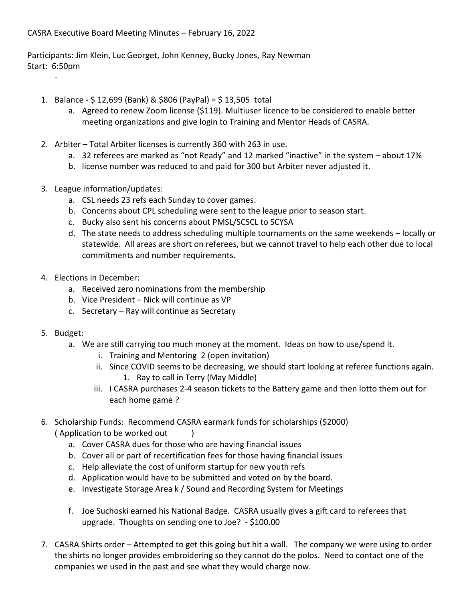## CASRA Executive Board Meeting Minutes – February 16, 2022

Participants: Jim Klein, Luc Georget, John Kenney, Bucky Jones, Ray Newman Start: 6:50pm

- 1. Balance \$ 12,699 (Bank) & \$806 (PayPal) = \$ 13,505 total
	- a. Agreed to renew Zoom license (\$119). Multiuser licence to be considered to enable better meeting organizations and give login to Training and Mentor Heads of CASRA.
- 2. Arbiter Total Arbiter licenses is currently 360 with 263 in use.
	- a. 32 referees are marked as "not Ready" and 12 marked "inactive" in the system about 17%
	- b. license number was reduced to and paid for 300 but Arbiter never adjusted it.
- 3. League information/updates:
	- a. CSL needs 23 refs each Sunday to cover games.
	- b. Concerns about CPL scheduling were sent to the league prior to season start.
	- c. Bucky also sent his concerns about PMSL/SCSCL to SCYSA
	- d. The state needs to address scheduling multiple tournaments on the same weekends locally or statewide. All areas are short on referees, but we cannot travel to help each other due to local commitments and number requirements.
- 4. Elections in December:
	- a. Received zero nominations from the membership
	- b. Vice President Nick will continue as VP
	- c. Secretary Ray will continue as Secretary
- 5. Budget:

-

- a. We are still carrying too much money at the moment. Ideas on how to use/spend it.
	- i. Training and Mentoring 2 (open invitation)
	- ii. Since COVID seems to be decreasing, we should start looking at referee functions again. 1. Ray to call in Terry (May Middle)
	- iii. I CASRA purchases 2-4 season tickets to the Battery game and then lotto them out for each home game ?
- 6. Scholarship Funds: Recommend CASRA earmark funds for scholarships (\$2000) (Application to be worked out )
	- a. Cover CASRA dues for those who are having financial issues
	- b. Cover all or part of recertification fees for those having financial issues
	- c. Help alleviate the cost of uniform startup for new youth refs
	- d. Application would have to be submitted and voted on by the board.
	- e. Investigate Storage Area k / Sound and Recording System for Meetings
	- f. Joe Suchoski earned his National Badge. CASRA usually gives a gift card to referees that upgrade. Thoughts on sending one to Joe? - \$100.00
- 7. CASRA Shirts order Attempted to get this going but hit a wall. The company we were using to order the shirts no longer provides embroidering so they cannot do the polos. Need to contact one of the companies we used in the past and see what they would charge now.